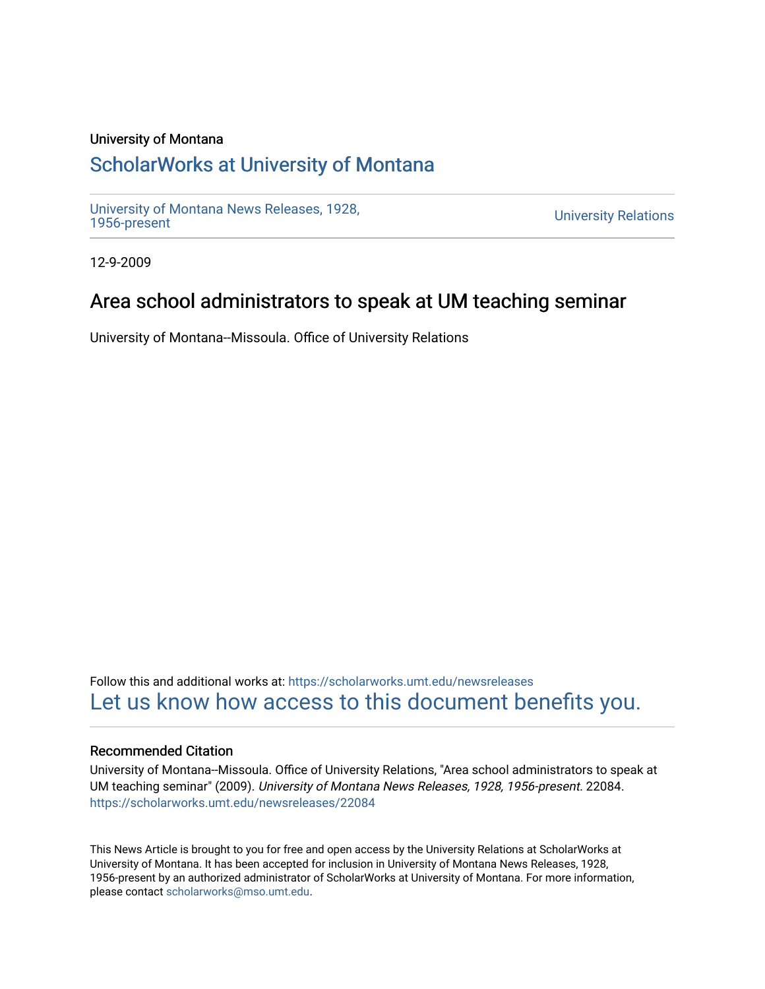### University of Montana

## [ScholarWorks at University of Montana](https://scholarworks.umt.edu/)

[University of Montana News Releases, 1928,](https://scholarworks.umt.edu/newsreleases) 

**University Relations** 

12-9-2009

## Area school administrators to speak at UM teaching seminar

University of Montana--Missoula. Office of University Relations

Follow this and additional works at: [https://scholarworks.umt.edu/newsreleases](https://scholarworks.umt.edu/newsreleases?utm_source=scholarworks.umt.edu%2Fnewsreleases%2F22084&utm_medium=PDF&utm_campaign=PDFCoverPages) [Let us know how access to this document benefits you.](https://goo.gl/forms/s2rGfXOLzz71qgsB2) 

#### Recommended Citation

University of Montana--Missoula. Office of University Relations, "Area school administrators to speak at UM teaching seminar" (2009). University of Montana News Releases, 1928, 1956-present. 22084. [https://scholarworks.umt.edu/newsreleases/22084](https://scholarworks.umt.edu/newsreleases/22084?utm_source=scholarworks.umt.edu%2Fnewsreleases%2F22084&utm_medium=PDF&utm_campaign=PDFCoverPages) 

This News Article is brought to you for free and open access by the University Relations at ScholarWorks at University of Montana. It has been accepted for inclusion in University of Montana News Releases, 1928, 1956-present by an authorized administrator of ScholarWorks at University of Montana. For more information, please contact [scholarworks@mso.umt.edu.](mailto:scholarworks@mso.umt.edu)